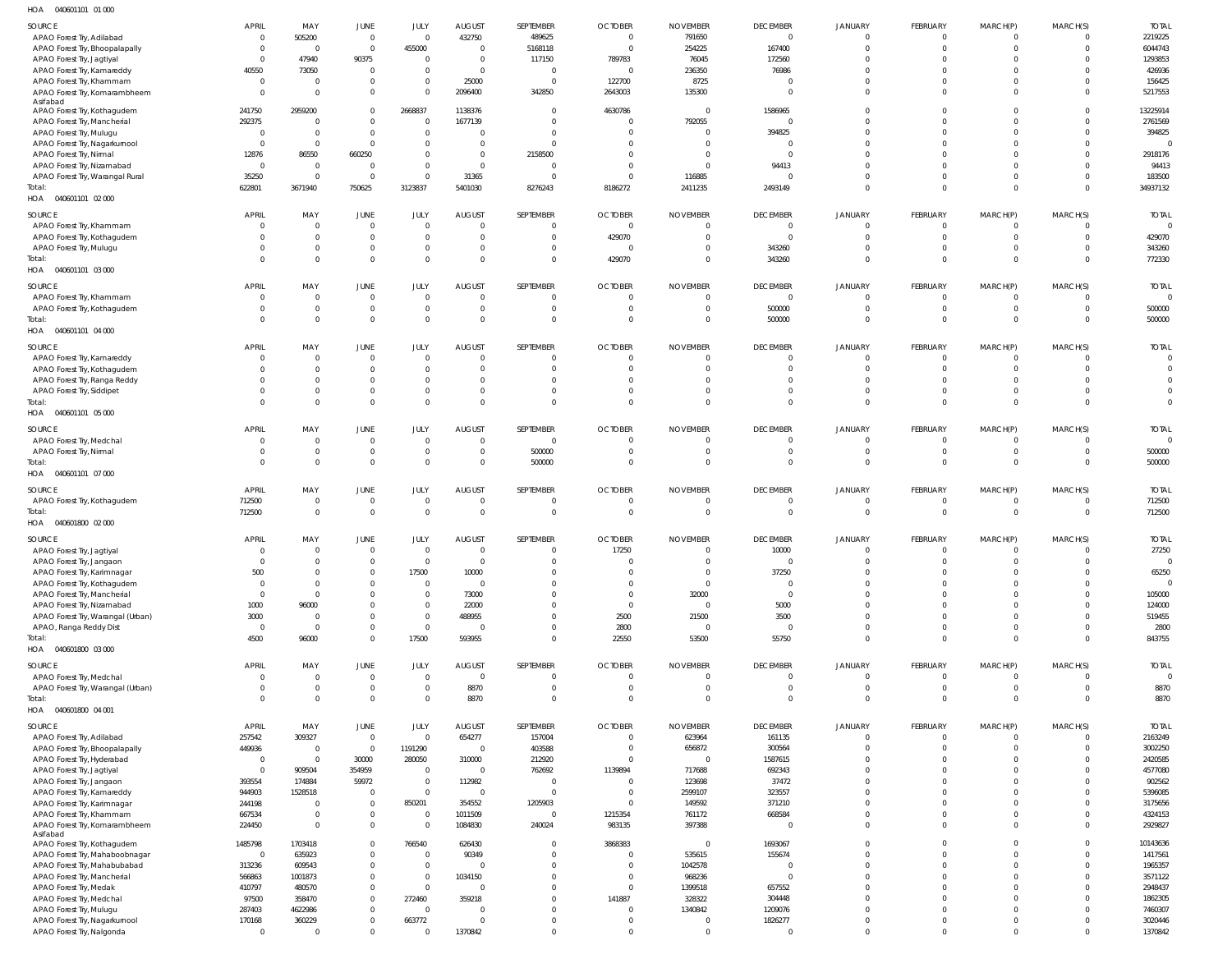040601101 01 000 HOA

| SOURCE                                                     | APRIL                    | MAY                              | JUNE                                   | JULY                             | <b>AUGUST</b>                    | SEPTEMBER                        | <b>OCTOBER</b>                   | <b>NOVEMBER</b>                   | <b>DECEMBER</b>             | <b>JANUARY</b>                   | FEBRUARY                   | MARCH(P)                         | MARCH(S)             | <b>TOTAL</b>                      |
|------------------------------------------------------------|--------------------------|----------------------------------|----------------------------------------|----------------------------------|----------------------------------|----------------------------------|----------------------------------|-----------------------------------|-----------------------------|----------------------------------|----------------------------|----------------------------------|----------------------|-----------------------------------|
| APAO Forest Try, Adilabad                                  | $\Omega$                 | 505200                           | $\overline{\phantom{0}}$               | $\overline{0}$                   | 432750                           | 489625                           | $\mathbf 0$                      | 791650                            | $\overline{0}$              | $\Omega$                         | $\Omega$                   | $\overline{0}$                   |                      | 2219225                           |
| APAO Forest Try, Bhoopalapally                             | $\Omega$                 | $\overline{0}$                   | $\overline{0}$                         | 455000                           | $\overline{0}$                   | 5168118                          | $\overline{0}$                   | 254225                            | 167400                      | $\Omega$                         | $\Omega$                   | $\overline{0}$                   | $\Omega$             | 6044743                           |
| APAO Forest Try, Jagtiyal<br>APAO Forest Try, Kamareddy    | $\Omega$<br>40550        | 47940<br>73050                   | 90375<br>$\overline{0}$                | $\overline{0}$<br>$\mathbf 0$    | $\overline{0}$<br>$\overline{0}$ | 117150<br>$\overline{0}$         | 789783<br>$\overline{0}$         | 76045<br>236350                   | 172560<br>76986             | $\Omega$<br>$\Omega$             | $\Omega$<br>$\Omega$       | $\overline{0}$<br>$\Omega$       |                      | 1293853<br>426936                 |
| APAO Forest Try, Khammam                                   | $\Omega$                 | $\overline{0}$                   | $\mathbf 0$                            | $\mathbf 0$                      | 25000                            | 0                                | 122700                           | 8725                              | $\Omega$                    | $\Omega$                         | $\Omega$                   | $\overline{0}$                   |                      | 156425                            |
| APAO Forest Try, Komarambheem                              | $\Omega$                 | $\overline{0}$                   | $\mathbf 0$                            | $\mathbf{0}$                     | 2096400                          | 342850                           | 2643003                          | 135300                            | $\Omega$                    | $\Omega$                         | $\Omega$                   | $\overline{0}$                   |                      | 5217553                           |
| Asifabad<br>APAO Forest Try, Kothagudem                    | 241750                   | 2959200                          | $\overline{0}$                         | 2668837                          | 1138376                          | $\overline{0}$                   | 4630786                          | $\overline{0}$                    | 1586965                     | $\Omega$                         | $\Omega$                   | $\overline{0}$                   |                      | 13225914                          |
| APAO Forest Try, Mancherial                                | 292375                   | $\overline{0}$                   | $\mathbf 0$                            | $\overline{0}$                   | 1677139                          | $\overline{0}$                   | $\overline{0}$                   | 792055                            | $\Omega$                    | $\Omega$                         | $\Omega$                   | $\Omega$                         |                      | 2761569                           |
| APAO Forest Try, Mulugu                                    | - 0                      | $\overline{0}$                   | $\overline{0}$                         | $\mathbf 0$                      | $\Omega$                         | $\overline{0}$                   | 0                                | $\overline{0}$                    | 394825                      | $\Omega$                         | $\Omega$                   | $\overline{0}$                   | $\Omega$             | 394825                            |
| APAO Forest Try, Nagarkurnool<br>APAO Forest Try, Nirmal   | $\Omega$<br>12876        | $\overline{0}$<br>86550          | $\mathbf 0$<br>660250                  | $\mathbf 0$<br>$\mathbf{0}$      | $\Omega$<br>$\overline{0}$       | $\overline{0}$<br>2158500        | $\Omega$<br>$\Omega$             | $\overline{0}$<br>0               | $\Omega$<br>$\Omega$        | $\Omega$<br>$\Omega$             | $\Omega$<br>$\Omega$       | $\Omega$<br>$\Omega$             |                      | $\overline{0}$<br>2918176         |
| APAO Forest Try, Nizamabad                                 | $\overline{0}$           | $\overline{0}$                   | $\overline{0}$                         | $\mathbf 0$                      | $\overline{0}$                   | $\overline{0}$                   | $\Omega$                         | $\overline{0}$                    | 94413                       | $\Omega$                         | $\Omega$                   | $\Omega$                         |                      | 94413                             |
| APAO Forest Try, Warangal Rural                            | 35250                    | $\overline{0}$                   | $\mathbf 0$                            | $\mathbf 0$                      | 31365                            | 0                                | $\overline{0}$                   | 116885                            | $\Omega$                    | $\Omega$                         | $\Omega$                   | $\overline{0}$                   | $\Omega$             | 183500                            |
| Total:                                                     | 622801                   | 3671940                          | 750625                                 | 3123837                          | 5401030                          | 8276243                          | 8186272                          | 2411235                           | 2493149                     | $\Omega$                         | $\Omega$                   | $\overline{0}$                   | $\overline{0}$       | 34937132                          |
| HOA  040601101  02  000                                    |                          |                                  |                                        |                                  |                                  |                                  |                                  |                                   |                             |                                  |                            |                                  |                      |                                   |
| SOURCE                                                     | <b>APRIL</b><br>$\Omega$ | MAY<br>$\overline{0}$            | JUNE<br>$\overline{0}$                 | JULY<br>$\overline{0}$           | <b>AUGUST</b><br>$\Omega$        | SEPTEMBER<br>$\mathbf{0}$        | <b>OCTOBER</b>                   | <b>NOVEMBER</b><br>$\overline{0}$ | <b>DECEMBER</b>             | <b>JANUARY</b><br>$\Omega$       | FEBRUARY<br>$\overline{0}$ | MARCH(P)<br>$\overline{0}$       | MARCH(S)<br>$\Omega$ | <b>TOTAL</b><br>$\overline{0}$    |
| APAO Forest Try, Khammam<br>APAO Forest Try, Kothagudem    |                          | $\overline{0}$                   | $\overline{0}$                         | $\mathbf 0$                      | $\Omega$                         | $\mathbf 0$                      | $\mathbf 0$<br>429070            | $\overline{0}$                    | $\overline{0}$<br>$\Omega$  | $\Omega$                         | $\Omega$                   | $\overline{0}$                   | $\Omega$             | 429070                            |
| APAO Forest Try, Mulugu                                    |                          | $\overline{0}$                   | $\mathbf 0$                            | $\mathbf 0$                      | $\overline{0}$                   | $\mathbf{0}$                     | $\overline{0}$                   | $\overline{0}$                    | 343260                      | $\overline{0}$                   | $\overline{0}$             | $\overline{0}$                   | $\Omega$             | 343260                            |
| Total:                                                     |                          | $\Omega$                         | $\mathbf 0$                            | $\mathbf 0$                      | $\Omega$                         | $\mathbf 0$                      | 429070                           | $\mathbf 0$                       | 343260                      | $\Omega$                         | $\Omega$                   | $\Omega$                         | $\Omega$             | 772330                            |
| HOA  040601101  03  000                                    |                          |                                  |                                        |                                  |                                  |                                  |                                  |                                   |                             |                                  |                            |                                  |                      |                                   |
| SOURCE                                                     | <b>APRIL</b>             | MAY                              | JUNE                                   | JULY                             | <b>AUGUST</b>                    | SEPTEMBER                        | <b>OCTOBER</b>                   | <b>NOVEMBER</b>                   | <b>DECEMBER</b>             | <b>JANUARY</b>                   | FEBRUARY                   | MARCH(P)                         | MARCH(S)             | <b>TOTAL</b>                      |
| APAO Forest Try, Khammam                                   | $\Omega$                 | $\overline{0}$<br>$\overline{0}$ | $\overline{0}$<br>$\mathbf 0$          | $\overline{0}$<br>$\overline{0}$ | $\overline{0}$<br>$\overline{0}$ | $\overline{0}$<br>$\overline{0}$ | $\overline{0}$<br>$\overline{0}$ | $\overline{0}$<br>$\overline{0}$  | $\overline{0}$<br>500000    | $\overline{0}$<br>$\overline{0}$ | $\mathbf{0}$<br>$\Omega$   | $\overline{0}$<br>$\overline{0}$ | $\Omega$<br>$\Omega$ | $\overline{0}$<br>500000          |
| APAO Forest Try, Kothagudem<br>Total:                      |                          | $\mathbf{0}$                     | $\mathbf 0$                            | $\mathbf 0$                      | $\Omega$                         | $\overline{0}$                   | $\overline{0}$                   | $\overline{0}$                    | 500000                      | $\Omega$                         | $\Omega$                   | $\overline{0}$                   | $\overline{0}$       | 500000                            |
| HOA  040601101  04  000                                    |                          |                                  |                                        |                                  |                                  |                                  |                                  |                                   |                             |                                  |                            |                                  |                      |                                   |
| SOURCE                                                     | APRIL                    | MAY                              | <b>JUNE</b>                            | JULY                             | <b>AUGUST</b>                    | SEPTEMBER                        | <b>OCTOBER</b>                   | <b>NOVEMBER</b>                   | <b>DECEMBER</b>             | <b>JANUARY</b>                   | FEBRUARY                   | MARCH(P)                         | MARCH(S)             | <b>TOTAL</b>                      |
| APAO Forest Try, Kamareddy                                 | $\Omega$                 | $\overline{0}$                   | $\overline{0}$                         | $\overline{0}$                   | $\Omega$                         | $\overline{0}$                   | $\mathbf{0}$                     | $\overline{0}$                    | $\Omega$                    | $\Omega$                         | $\Omega$                   | $\overline{0}$                   | $\Omega$             | $\overline{0}$                    |
| APAO Forest Try, Kothagudem                                |                          | $\overline{0}$                   | $\mathbf 0$                            | $\mathbf 0$                      | $\Omega$                         | $\overline{0}$                   | $\overline{0}$                   | $\overline{0}$                    | $\Omega$                    | $\Omega$                         | $\Omega$                   | $\overline{0}$                   | $\Omega$             | $\overline{0}$                    |
| APAO Forest Try, Ranga Reddy                               |                          | $\overline{0}$                   | $\mathbf 0$                            | $\mathbf 0$                      | $\Omega$<br>$\Omega$             | $\Omega$                         | $\Omega$                         | $\Omega$                          | $\Omega$                    | $\Omega$                         | $\Omega$                   | $\Omega$                         |                      | $\Omega$                          |
| APAO Forest Try, Siddipet<br>Total:                        |                          | $\mathbf{0}$<br>$\Omega$         | $\mathbf 0$<br>$\mathbf 0$             | $\mathbf 0$<br>$\mathbf 0$       | $\Omega$                         | $\Omega$<br>$\Omega$             | $\overline{0}$<br>$\Omega$       | $\Omega$<br>$\Omega$              | $\Omega$<br>$\Omega$        | $\Omega$<br>$\Omega$             | $\Omega$<br>$\Omega$       | $\Omega$<br>$\overline{0}$       | $\Omega$<br>$\Omega$ | $\overline{0}$<br>$\Omega$        |
| HOA  040601101  05  000                                    |                          |                                  |                                        |                                  |                                  |                                  |                                  |                                   |                             |                                  |                            |                                  |                      |                                   |
| SOURCE                                                     | <b>APRIL</b>             | MAY                              | JUNE                                   | JULY                             | <b>AUGUST</b>                    | SEPTEMBER                        | <b>OCTOBER</b>                   | <b>NOVEMBER</b>                   | <b>DECEMBER</b>             | <b>JANUARY</b>                   | FEBRUARY                   | MARCH(P)                         | MARCH(S)             | <b>TOTAL</b>                      |
| APAO Forest Try, Medchal                                   | $\Omega$                 | $\overline{0}$                   | $\overline{0}$                         | $\overline{0}$                   | $\Omega$                         | $\overline{0}$                   | $\overline{0}$                   | $\overline{0}$                    | $\Omega$                    | $\Omega$                         | $\Omega$                   | $\overline{0}$                   |                      | $\overline{\phantom{0}}$          |
| APAO Forest Try, Nirmal                                    |                          | $\overline{0}$                   | $\overline{0}$                         | $\overline{0}$                   | $\mathbf{0}$                     | 500000                           | $\overline{0}$                   | $\overline{0}$                    | $\mathbf{0}$                | $\mathbf{0}$                     | $\mathbf{0}$               | $\overline{0}$                   | $\Omega$             | 500000                            |
| Total:                                                     | $\cap$                   | $\mathbf{0}$                     | $\mathbf 0$                            | $\mathbf 0$                      | $\Omega$                         | 500000                           | $\Omega$                         | $\overline{0}$                    | $\Omega$                    | $\Omega$                         | $\Omega$                   | $\overline{0}$                   | $\Omega$             | 500000                            |
| HOA  040601101  07  000                                    |                          |                                  |                                        |                                  |                                  |                                  |                                  |                                   |                             |                                  |                            |                                  |                      |                                   |
| SOURCE                                                     | <b>APRIL</b><br>712500   | MAY<br>$\overline{0}$            | JUNE<br>$\mathbf 0$                    | JULY<br>$\overline{0}$           | <b>AUGUST</b><br>$\Omega$        | SEPTEMBER<br>$\overline{0}$      | <b>OCTOBER</b><br>$\overline{0}$ | <b>NOVEMBER</b><br>$\overline{0}$ | <b>DECEMBER</b><br>$\Omega$ | <b>JANUARY</b><br>$\overline{0}$ | FEBRUARY<br>$\overline{0}$ | MARCH(P)<br>$\overline{0}$       | MARCH(S)<br>$\Omega$ | <b>TOTAL</b><br>712500            |
| APAO Forest Try, Kothagudem<br>Total:                      | 712500                   | $\mathbf{0}$                     | $\overline{0}$                         | $\mathbf{0}$                     | $\overline{0}$                   | $\overline{0}$                   | $\mathbf 0$                      | $\overline{0}$                    | $\overline{0}$              | $\overline{0}$                   | $\overline{0}$             | $\overline{0}$                   | $\overline{0}$       | 712500                            |
| HOA  040601800  02  000                                    |                          |                                  |                                        |                                  |                                  |                                  |                                  |                                   |                             |                                  |                            |                                  |                      |                                   |
| SOURCE                                                     | APRIL                    | MAY                              | <b>JUNE</b>                            | JULY                             | <b>AUGUST</b>                    | SEPTEMBER                        | <b>OCTOBER</b>                   | <b>NOVEMBER</b>                   | <b>DECEMBER</b>             | <b>JANUARY</b>                   | FEBRUARY                   | MARCH(P)                         | MARCH(S)             | <b>TOTAL</b>                      |
| APAO Forest Try, Jagtiyal                                  | $\Omega$                 | $\overline{0}$                   | $\overline{0}$                         | $\mathbf 0$                      | $\overline{0}$                   | $\overline{0}$                   | 17250                            | $\overline{0}$                    | 10000                       | $\Omega$                         | $\Omega$                   | $\overline{0}$                   | $\Omega$             | 27250                             |
| APAO Forest Try, Jangaon                                   |                          | $\cap$                           | $\cap$                                 | $\bigcap$                        | $\cap$                           | $\cap$                           | $\bigcap$                        |                                   | $\cap$                      | $\cap$                           | $\cap$                     | $\cap$                           | $\Omega$             | $\Omega$                          |
| APAO Forest Try, Karimnagar<br>APAO Forest Try, Kothagudem | 500<br>$\Omega$          | $\overline{0}$<br>$\mathbf{0}$   | $\mathbf 0$<br>$\mathbf 0$             | 17500<br>$\mathbf 0$             | 10000<br>$\overline{0}$          | $\Omega$<br>$\overline{0}$       | $\mathbf 0$<br>$\overline{0}$    | $\overline{0}$<br>$\overline{0}$  | 37250<br>$\overline{0}$     | $\Omega$<br>$\Omega$             | $\Omega$<br>$\Omega$       | $\Omega$<br>$\overline{0}$       | $\Omega$<br>$\Omega$ | 65250<br>$\overline{\phantom{0}}$ |
| APAO Forest Try, Mancherial                                | $\Omega$                 | $\overline{0}$                   | $\mathbf 0$                            | $\mathbf 0$                      | 73000                            | $\Omega$                         | $\overline{0}$                   | 32000                             | $\overline{0}$              | $\Omega$                         | $\Omega$                   | $\Omega$                         | $\Omega$             | 105000                            |
| APAO Forest Try, Nizamabad                                 | 1000                     | 96000                            | $\mathbf 0$                            | $\mathbf 0$                      | 22000                            | $\mathbf{0}$                     | $\mathbf{0}$                     | $\overline{0}$                    | 5000                        | $\Omega$                         | $\Omega$                   | $\overline{0}$                   |                      | 124000                            |
| APAO Forest Try, Warangal (Urban)                          | 3000                     | $\overline{0}$                   | $\mathbf 0$                            | $\mathbf 0$                      | 488955                           | $\mathbf{0}$                     | 2500                             | 21500                             | 3500                        | $\Omega$                         | $\Omega$                   | $\overline{0}$                   | $\Omega$             | 519455                            |
| APAO, Ranga Reddy Dist<br>Total:                           | $\overline{0}$<br>4500   | $\overline{0}$<br>96000          | $\mathbf 0$<br>$\mathbf 0$             | $\mathbf 0$<br>17500             | $\overline{0}$<br>593955         | $\mathbf{0}$<br>$\mathbf 0$      | 2800<br>22550                    | $\mathbf 0$<br>53500              | $\overline{0}$<br>55750     | $\Omega$<br>$\Omega$             | $\Omega$<br>$\Omega$       | $\overline{0}$<br>$\overline{0}$ | $\Omega$             | 2800<br>843755                    |
| HOA  040601800  03  000                                    |                          |                                  |                                        |                                  |                                  |                                  |                                  |                                   |                             |                                  |                            |                                  |                      |                                   |
| SOURCE                                                     | <b>APRIL</b>             | MAY                              | JUNE                                   | JULY                             | <b>AUGUST</b>                    | SEPTEMBER                        | <b>OCTOBER</b>                   | <b>NOVEMBER</b>                   | <b>DECEMBER</b>             | <b>JANUARY</b>                   | FEBRUARY                   | MARCH(P)                         | MARCH(S)             | <b>TOTAL</b>                      |
| APAO Forest Try, Medchal                                   | $\Omega$                 | $\overline{0}$                   | $\overline{0}$                         | $\overline{0}$                   | $\overline{0}$                   | $\overline{0}$                   | $\mathbf{0}$                     | $\overline{0}$                    | $\Omega$                    | $\Omega$                         | $\Omega$                   | $\overline{0}$                   | $\Omega$             | - 0                               |
| APAO Forest Try, Warangal (Urban)                          |                          | $\mathbf{0}$                     | $\overline{0}$                         | $\overline{0}$                   | 8870                             | $\overline{0}$                   | $\overline{0}$                   | $\overline{0}$                    | $\overline{0}$              | $\overline{0}$                   | $\overline{0}$             | $\mathbf 0$                      | $\overline{0}$       | 8870                              |
| Total:<br>HOA  040601800  04  001                          |                          | $\mathbf 0$                      | $\mathbf 0$                            | $\mathbf{0}$                     | 8870                             | $\overline{0}$                   | $\Omega$                         | $\overline{0}$                    | $\Omega$                    | $\Omega$                         | $\Omega$                   | $\overline{0}$                   | $\Omega$             | 8870                              |
|                                                            |                          |                                  |                                        |                                  |                                  |                                  |                                  |                                   |                             |                                  |                            |                                  |                      |                                   |
| SOURCE<br>APAO Forest Try, Adilabad                        | APRIL<br>257542          | MAY<br>309327                    | <b>JUNE</b><br>$\overline{\mathbf{0}}$ | JULY<br>$\overline{0}$           | <b>AUGUST</b><br>654277          | SEPTEMBER<br>157004              | <b>OCTOBER</b><br>$\mathbf 0$    | <b>NOVEMBER</b><br>623964         | <b>DECEMBER</b><br>161135   | <b>JANUARY</b><br>$\mathbf{0}$   | FEBRUARY<br>$\mathbf{0}$   | MARCH(P)<br>$\overline{0}$       | MARCH(S)<br>$\Omega$ | <b>TOTAL</b><br>2163249           |
| APAO Forest Try, Bhoopalapally                             | 449936                   | $\overline{0}$                   | $\overline{0}$                         | 1191290                          | $\overline{0}$                   | 403588                           | $\overline{0}$                   | 656872                            | 300564                      | $\mathbf{0}$                     | $\Omega$                   | $\overline{0}$                   |                      | 3002250                           |
| APAO Forest Try, Hyderabad                                 | $\overline{0}$           | $\overline{0}$                   | 30000                                  | 280050                           | 310000                           | 212920                           | $\overline{0}$                   | $\overline{0}$                    | 1587615                     | $\Omega$                         | $\Omega$                   | $\overline{0}$                   |                      | 2420585                           |
| APAO Forest Try, Jagtiyal                                  | $\Omega$                 | 909504                           | 354959                                 | $\overline{0}$                   | $\overline{0}$                   | 762692                           | 1139894                          | 717688                            | 692343                      | $\Omega$                         | $\Omega$                   | $\Omega$                         |                      | 4577080                           |
| APAO Forest Try, Jangaon                                   | 393554<br>944903         | 174884<br>1528518                | 59972<br>$\overline{0}$                | $\mathbf 0$<br>$\mathbf 0$       | 112982<br>$\overline{0}$         | $\overline{0}$<br>$\overline{0}$ | $\overline{0}$<br>$\overline{0}$ | 123698<br>2599107                 | 37472<br>323557             | $\Omega$<br>$\Omega$             | $\Omega$<br>$\Omega$       | $\Omega$<br>$\overline{0}$       |                      | 902562<br>5396085                 |
| APAO Forest Try, Kamareddy<br>APAO Forest Try, Karimnagar  | 244198                   | $\overline{0}$                   | $\overline{0}$                         | 850201                           | 354552                           | 1205903                          | $\overline{0}$                   | 149592                            | 371210                      | $\Omega$                         | $\Omega$                   | $\overline{0}$                   |                      | 3175656                           |
| APAO Forest Try, Khammam                                   | 667534                   | $\mathbf{0}$                     | $\overline{0}$                         | $\overline{0}$                   | 1011509                          | $\overline{0}$                   | 1215354                          | 761172                            | 668584                      | $\Omega$                         | $\Omega$                   | $\overline{0}$                   | $\Omega$             | 4324153                           |
| APAO Forest Try, Komarambheem                              | 224450                   | $\mathbf{0}$                     | $\overline{0}$                         | $\overline{0}$                   | 1084830                          | 240024                           | 983135                           | 397388                            | $\overline{0}$              | $\Omega$                         | $\Omega$                   | $\overline{0}$                   | $\Omega$             | 2929827                           |
| Asifabad<br>APAO Forest Try, Kothagudem                    | 1485798                  | 1703418                          | $\mathbf 0$                            | 766540                           | 626430                           | $\overline{0}$                   | 3868383                          | $\overline{0}$                    | 1693067                     | $\Omega$                         | $\Omega$                   | $\overline{0}$                   | $\Omega$             | 10143636                          |
| APAO Forest Try, Mahaboobnagar                             | $\overline{0}$           | 635923                           | $\mathbf 0$                            | $\overline{0}$                   | 90349                            | $\overline{0}$                   | $\overline{0}$                   | 535615                            | 155674                      | $\Omega$                         | $\Omega$                   | $\overline{0}$                   | $\Omega$             | 1417561                           |
| APAO Forest Try, Mahabubabad                               | 313236                   | 609543                           | $\mathbf 0$                            | $\mathbf 0$                      | $\overline{0}$                   | $\overline{0}$                   | $\overline{0}$                   | 1042578                           | $\overline{0}$              | $\Omega$                         | $\Omega$                   | $\overline{0}$                   |                      | 1965357                           |
| APAO Forest Try, Mancherial                                | 566863                   | 1001873                          | $\mathbf 0$                            | $\mathbf 0$                      | 1034150                          | $\mathbf{0}$                     | $\overline{0}$                   | 968236                            | $\overline{0}$              | $\Omega$                         | $\Omega$                   | $\overline{0}$                   |                      | 3571122                           |
| APAO Forest Try, Medak                                     | 410797                   | 480570<br>358470                 | $\mathbf 0$<br>$\mathbf 0$             | $\mathbf 0$<br>272460            | $\Omega$<br>359218               | $\mathbf 0$<br>$\mathbf{0}$      | $\overline{0}$<br>141887         | 1399518<br>328322                 | 657552<br>304448            | $\Omega$<br>$\Omega$             | $\Omega$<br>$\Omega$       | $\overline{0}$<br>$\Omega$       |                      | 2948437<br>1862305                |
|                                                            |                          |                                  |                                        |                                  |                                  |                                  |                                  |                                   |                             |                                  |                            |                                  |                      |                                   |
| APAO Forest Try, Medchal<br>APAO Forest Try, Mulugu        | 97500<br>287403          | 4622986                          | $\mathbf 0$                            | $\overline{0}$                   | $\Omega$                         | $\mathbf{0}$                     | $\overline{0}$                   | 1340842                           | 1209076                     | $\Omega$                         | $\Omega$                   | $\overline{0}$                   | $\Omega$             | 7460307                           |
| APAO Forest Try, Nagarkurnool                              | 170168                   | 360229                           | $\mathbf 0$<br>$\mathbf 0$             | 663772                           | $\overline{0}$<br>1370842        | $\overline{0}$<br>$\mathbf{0}$   | $\overline{0}$<br>$\mathbf{0}$   | $\overline{0}$                    | 1826277                     | $\Omega$<br>$\Omega$             | $\mathbf{0}$<br>$\Omega$   | $\overline{0}$<br>$\overline{0}$ | $\Omega$             | 3020446<br>1370842                |